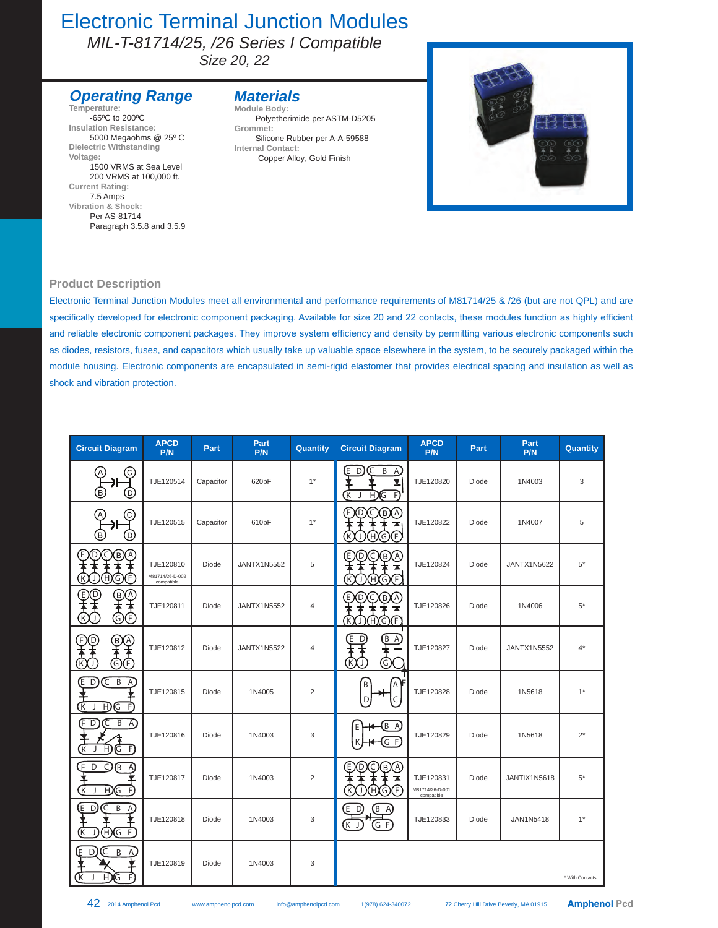### Electronic Terminal Junction Modules

*MIL-T-81714/25, /26 Series I Compatible* 

*Size 20, 22*

### **Operating Range**

**Temperature:** -65ºC to 200ºC **Insulation Resistance:** 5000 Megaohms @ 25º C **Dielectric Withstanding Voltage:** 1500 VRMS at Sea Level 200 VRMS at 100,000 ft. **Current Rating:** 7.5 Amps **Vibration & Shock:** Per AS-81714 Paragraph 3.5.8 and 3.5.9

#### **Materials Module Body:**

Polyetherimide per ASTM-D5205 **Grommet:** Silicone Rubber per A-A-59588 **Internal Contact:** Copper Alloy, Gold Finish



#### **Product Description**

Electronic Terminal Junction Modules meet all environmental and performance requirements of M81714/25 & /26 (but are not QPL) and are specifically developed for electronic component packaging. Available for size 20 and 22 contacts, these modules function as highly efficient and reliable electronic component packages. They improve system efficiency and density by permitting various electronic components such as diodes, resistors, fuses, and capacitors which usually take up valuable space elsewhere in the system, to be securely packaged within the module housing. Electronic components are encapsulated in semi-rigid elastomer that provides electrical spacing and insulation as well as shock and vibration protection.

| <b>Circuit Diagram</b>                                                | <b>APCD</b><br>P/N                         | Part      | Part<br>P/N        | Quantity       | <b>Circuit Diagram</b>                                      | <b>APCD</b><br>P/N                         | Part  | Part<br>P/N        | Quantity        |
|-----------------------------------------------------------------------|--------------------------------------------|-----------|--------------------|----------------|-------------------------------------------------------------|--------------------------------------------|-------|--------------------|-----------------|
| С<br>E)<br>D.                                                         | TJE120514                                  | Capacitor | 620pF              | $1*$           | Έ<br>D.<br>B<br>$\mathsf{A}$<br>Y<br>F<br>Œ<br>Η.<br>[G     | TJE120820                                  | Diode | 1N4003             | 3               |
| C.<br>$\left[ \mathsf{A}\right]$<br>Эŀ<br>Έ<br>O)                     | TJE120515                                  | Capacitor | 610pF              | $1*$           | O®@<br>Ε<br>D<br>T<br>ЮĒ,<br>K<br>Ή)<br>(G)                 | TJE120822                                  | Diode | 1N4007             | 5               |
| D<br>ίв)<br>Ε<br>C<br>$\left( \mathsf{A}\right)$<br>F<br>H)<br>Κ<br>G | TJE120810<br>M81714/26-D-002<br>compatible | Diode     | <b>JANTX1N5552</b> | 5              | Ε<br>(A)<br>D<br>(в)<br>F<br>K<br>G<br>н                    | TJE120824                                  | Diode | <b>JANTX1N5622</b> | $5*$            |
| ์D<br>®<br>A,<br>Έ<br>©Œ<br>Κ                                         | TJE120811                                  | Diode     | <b>JANTX1N5552</b> | $\overline{4}$ | Έ<br>BO)<br>D<br>C<br>ѫ<br>K)<br>G)F<br>(H)<br>$\mathbf{I}$ | TJE120826                                  | Diode | 1N4006             | $5^*$           |
| D)<br>@@<br>E.<br>G<br>F                                              | TJE120812                                  | Diode     | <b>JANTX1N5522</b> | $\overline{4}$ | Ε<br>$(B \ A)$<br>D<br>G)<br>$\left[\mathsf{K}\right]$      | TJE120827                                  | Diode | <b>JANTX1N5552</b> | $4^*$           |
| B<br>D<br>C<br>Έ<br>$\mathsf{A}$<br>Κ<br>ĐC<br>F.                     | TJE120815                                  | Diode     | 1N4005             | 2              | B<br>Α<br>D<br>C                                            | TJE120828                                  | Diode | 1N5618             | $1^*$           |
| E D<br>$B \cap A$<br>K.<br>H)<br>G<br>F                               | TJE120816                                  | Diode     | 1N4003             | 3              | $(B \ A)$<br>E<br>$(G$ F<br>К                               | TJE120829                                  | Diode | 1N5618             | $2^*$           |
| C<br>E<br>ſB.<br>D<br>A<br>$H$ <sub>G</sub><br>K<br>F<br>J            | TJE120817                                  | Diode     | 1N4003             | 2              | D<br>C<br>E.<br>B)<br>(A<br>┳<br>F.<br>Ή<br>K<br>(G)<br>J   | TJE120831<br>M81714/26-D-001<br>compatible | Diode | JANTIX1N5618       | $5*$            |
| ED.<br>B A<br>C<br>$H$ <sub><math>G</math> F</sub><br>Κ               | TJE120818                                  | Diode     | 1N4003             | 3              | $(B \land A)$<br>(E D)<br>GF.<br>์K J                       | TJE120833                                  | Diode | JAN1N5418          | $1^*$           |
| E<br>D<br>C<br>B<br>A,<br>F<br>H)<br>ίΚ<br>)(G                        | TJE120819                                  | Diode     | 1N4003             | 3              |                                                             |                                            |       |                    | * With Contacts |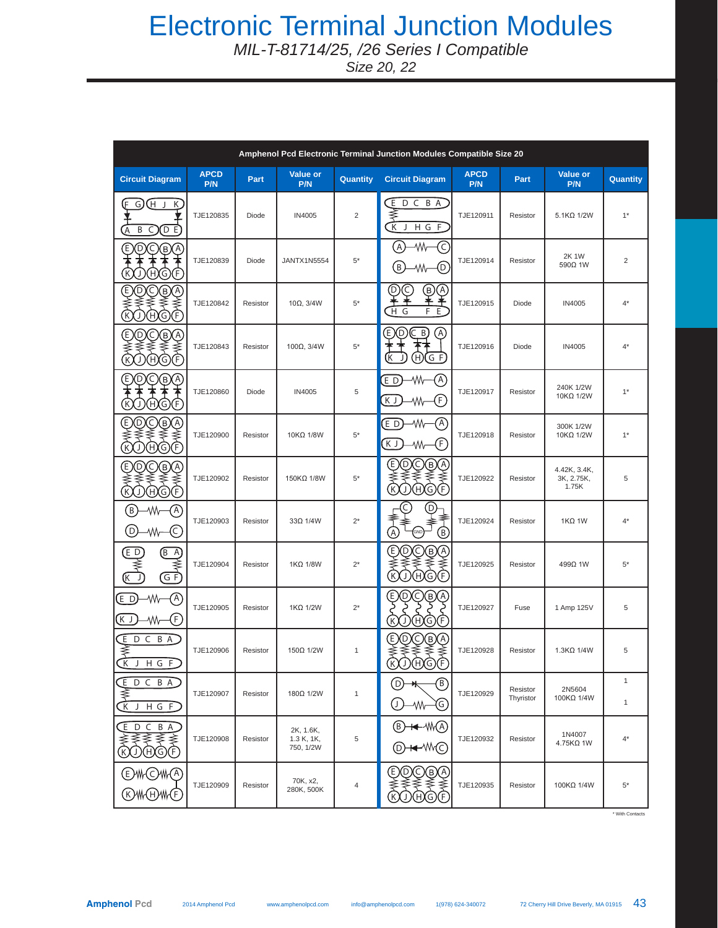# Electronic Terminal Junction Modules

*MIL-T-81714/25, /26 Series I Compatible* 

*Size 20, 22*

| Amphenol Pcd Electronic Terminal Junction Modules Compatible Size 20                           |                    |          |                                      |                |                                                                                                                |                    |                       |                                     |                              |  |
|------------------------------------------------------------------------------------------------|--------------------|----------|--------------------------------------|----------------|----------------------------------------------------------------------------------------------------------------|--------------------|-----------------------|-------------------------------------|------------------------------|--|
| <b>Circuit Diagram</b>                                                                         | <b>APCD</b><br>P/N | Part     | Value or<br>P/N                      | Quantity       | <b>Circuit Diagram</b>                                                                                         | <b>APCD</b><br>P/N | Part                  | Value or<br>P/N                     | Quantity                     |  |
| G) (H J<br>(F<br>K<br>Ā<br>(D E)<br>Β<br>C)                                                    | TJE120835          | Diode    | IN4005                               | $\overline{2}$ | Ŀ<br>D C B A<br>≸<br>$\overline{\mathbf{K}}$<br>H G F<br>J                                                     | TJE120911          | Resistor              | 5.1KQ 1/2W                          | $1*$                         |  |
| Έ<br>D<br>(C)<br>℗<br>$\left( \mathrm{A}\right)$<br>HXG<br>K<br>$\left(\mathsf{F}\right)$<br>J | TJE120839          | Diode    | <b>JANTX1N5554</b>                   | $5^\star$      | C<br>(A)<br>۰W<br>(б<br>$\left[ \begin{smallmatrix} 1\  \,  \end{smallmatrix} \right]$                         | TJE120914          | Resistor              | 2K 1W<br>590Ω 1W                    | $\overline{2}$               |  |
| ⊚<br>O®C<br>E<br>B)<br>OHGE                                                                    | TJE120842          | Resistor | 10 $\Omega$ , 3/4W                   | $5^\star$      | D.<br>ົດ<br>(B)<br>(A)<br>¥¥<br>去き<br>F E                                                                      | TJE120915          | Diode                 | IN4005                              | $4^*$                        |  |
| DO@@<br>E<br>HG)<br>F)<br>$\mathbb{C}$<br>J                                                    | TJE120843          | Resistor | 100Ω, 3/4W                           | $5^\star$      | ⊚<br>Έ<br>(C B)<br>Œ<br>$\oplus$<br>$G$ F<br>K                                                                 | TJE120916          | Diode                 | <b>IN4005</b>                       | $4^*$                        |  |
| Ξ<br>(B)<br>D<br>C<br>ĴΑ,<br>$\left[\mathsf{K}\right]$<br>G<br>$\mathsf{F}$<br>(H)<br>J        | TJE120860          | Diode    | IN4005                               | 5              | ۸M<br>(A)<br>$E$ D<br>Ē<br>KJ,<br>۸W                                                                           | TJE120917          | Resistor              | 240K 1/2W<br>10KΩ 1/2W              | $1*$                         |  |
| QQ®@<br>E<br>00C<br>B<br>U                                                                     | TJE120900          | Resistor | 10KΩ 1/8W                            | $5*$           | A)<br>$E$ D<br>۸W<br>F)<br>ΚJ<br>٨M                                                                            | TJE120918          | Resistor              | 300K 1/2W<br>10KΩ 1/2W              | $1*$                         |  |
| D)<br>Q®G<br>Έ<br>0AGE<br>$\mathbb{C}$                                                         | TJE120902          | Resistor | 150KΩ 1/8W                           | $5^\star$      | Q®@<br>E<br>D<br><b>ARSE</b><br>$\widehat{\mathcal{K}}$                                                        | TJE120922          | Resistor              | 4.42K, 3.4K,<br>3K, 2.75K,<br>1.75K | 5                            |  |
| $\left( \mathsf{B}\right)$<br>(A)<br>w.<br>€<br>D)<br>-Wh-                                     | TJE120903          | Resistor | $33\Omega$ 1/4W                      | $2^*$          | C,<br>D,<br>₹<br>$\widehat{\mathbb{A}}$<br>®,<br>GND                                                           | TJE120924          | Resistor              | $1K\Omega$ 1W                       | $4^*$                        |  |
| $\overline{E}$ D<br>(BA)<br>≹<br>≹<br>GF)<br>(K<br>J                                           | TJE120904          | Resistor | 1KΩ 1/8W                             | $2^*$          | Q®@<br>Ð<br>℗<br>DAGE<br>$\mathbb C$                                                                           | TJE120925          | Resistor              | 499Ω 1W                             | $5*$                         |  |
| ۰W<br>(A)<br>$(E\,D)$<br>F)<br>(K J )<br>۰W                                                    | TJE120905          | Resistor | 1KΩ 1/2W                             | $2^*$          | C<br>$\left(\mathsf{E}\right)$<br>D<br>(в)<br>$\left[ \begin{matrix} A \end{matrix} \right]$<br>R<br>HGE<br>U, | TJE120927          | Fuse                  | 1 Amp 125V                          | 5                            |  |
| EDCBA<br>≸<br><b>CK</b><br>J H G F                                                             | TJE120906          | Resistor | 150Q 1/2W                            | $\mathbf{1}$   | QQ®@<br>E<br><b>MAQQ</b>                                                                                       | TJE120928          | Resistor              | $1.3K\Omega$ 1/4W                   | 5                            |  |
| $E$ D C B A<br>≹<br>$\overline{\mathbf{K}}$<br>H G F<br>J                                      | TJE120907          | Resistor | 180Ω 1/2W                            | $\mathbf{1}$   | B)<br>(D)<br>→<br>(G)<br>(J )<br>-Wh-                                                                          | TJE120929          | Resistor<br>Thyristor | 2N5604<br>100KΩ 1/4W                | $\mathbf{1}$<br>$\mathbf{1}$ |  |
| ίE.<br>D C B A<br>℥℥<br>≼<br>⋠<br><b>KOHOF</b>                                                 | TJE120908          | Resistor | 2K, 1.6K,<br>1.3 K, 1K,<br>750, 1/2W | 5              | (B)<br><del>⊣⊄</del> -∕₩(A)<br>——∧WC                                                                           | TJE120932          | Resistor              | 1N4007<br>4.75KΩ 1W                 | $4^*$                        |  |
| ⊦(C)\\∩<br>Έ.<br>WM(F)<br>(H)                                                                  | TJE120909          | Resistor | 70K, x2,<br>280K, 500K               | 4              | QQ®@<br>E<br>Κ)<br>OHQE                                                                                        | TJE120935          | Resistor              | 100KΩ 1/4W                          | $5*$                         |  |

\* With Contacts